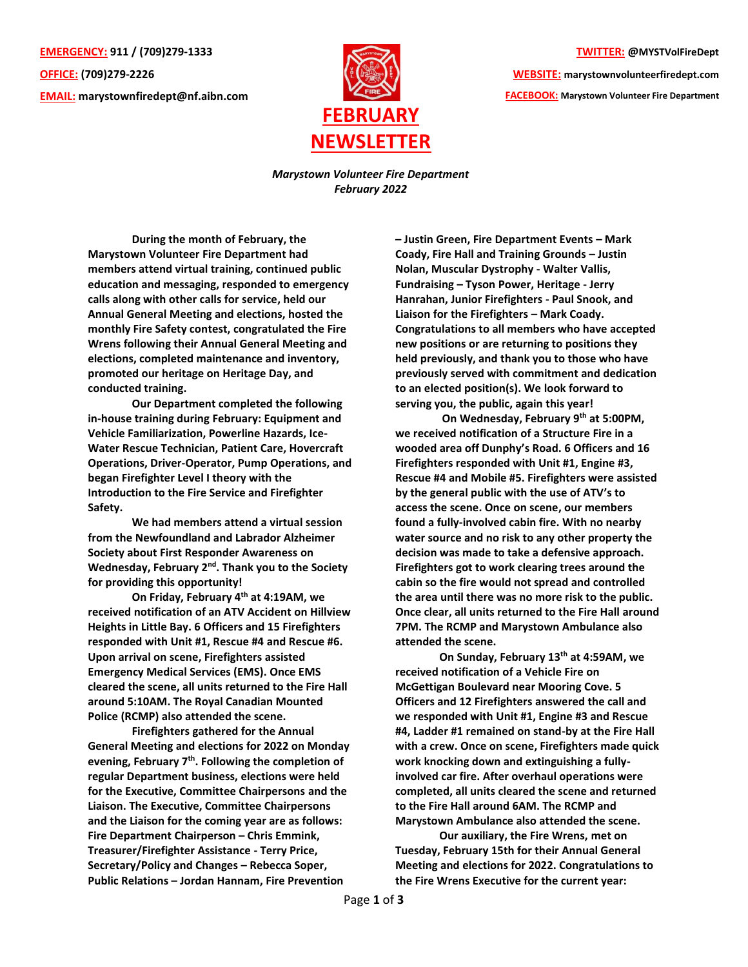**EMERGENCY: 911 / (709)279-1333 OFFICE: (709)279-2226 EMAIL: [marystownfiredept@nf.aibn.com](mailto:marystownfiredept@nf.aibn.com)**



**TWITTER: @MYSTVolFireDept**

**WEBSITE: marystownvolunteerfiredept.com FACEBOOK: Marystown Volunteer Fire Department**

*Marystown Volunteer Fire Department February 2022*

**During the month of February, the Marystown Volunteer Fire Department had members attend virtual training, continued public education and messaging, responded to emergency calls along with other calls for service, held our Annual General Meeting and elections, hosted the monthly Fire Safety contest, congratulated the Fire Wrens following their Annual General Meeting and elections, completed maintenance and inventory, promoted our heritage on Heritage Day, and conducted training.**

**Our Department completed the following in-house training during February: Equipment and Vehicle Familiarization, Powerline Hazards, Ice-Water Rescue Technician, Patient Care, Hovercraft Operations, Driver-Operator, Pump Operations, and began Firefighter Level I theory with the Introduction to the Fire Service and Firefighter Safety.**

**We had members attend a virtual session from the Newfoundland and Labrador Alzheimer Society about First Responder Awareness on Wednesday, February 2nd. Thank you to the Society for providing this opportunity!**

**On Friday, February 4th at 4:19AM, we received notification of an ATV Accident on Hillview Heights in Little Bay. 6 Officers and 15 Firefighters responded with Unit #1, Rescue #4 and Rescue #6. Upon arrival on scene, Firefighters assisted Emergency Medical Services (EMS). Once EMS cleared the scene, all units returned to the Fire Hall around 5:10AM. The Royal Canadian Mounted Police (RCMP) also attended the scene.** 

**Firefighters gathered for the Annual General Meeting and elections for 2022 on Monday evening, February 7th . Following the completion of regular Department business, elections were held for the Executive, Committee Chairpersons and the Liaison. The Executive, Committee Chairpersons and the Liaison for the coming year are as follows: Fire Department Chairperson – Chris Emmink, Treasurer/Firefighter Assistance - Terry Price, Secretary/Policy and Changes – Rebecca Soper, Public Relations – Jordan Hannam, Fire Prevention** 

**– Justin Green, Fire Department Events – Mark Coady, Fire Hall and Training Grounds – Justin Nolan, Muscular Dystrophy - Walter Vallis, Fundraising – Tyson Power, Heritage - Jerry Hanrahan, Junior Firefighters - Paul Snook, and Liaison for the Firefighters – Mark Coady. Congratulations to all members who have accepted new positions or are returning to positions they held previously, and thank you to those who have previously served with commitment and dedication to an elected position(s). We look forward to serving you, the public, again this year!**

**On Wednesday, February 9th at 5:00PM, we received notification of a Structure Fire in a wooded area off Dunphy's Road. 6 Officers and 16 Firefighters responded with Unit #1, Engine #3, Rescue #4 and Mobile #5. Firefighters were assisted by the general public with the use of ATV's to access the scene. Once on scene, our members found a fully-involved cabin fire. With no nearby water source and no risk to any other property the decision was made to take a defensive approach. Firefighters got to work clearing trees around the cabin so the fire would not spread and controlled the area until there was no more risk to the public. Once clear, all units returned to the Fire Hall around 7PM. The RCMP and Marystown Ambulance also attended the scene.** 

**On Sunday, February 13th at 4:59AM, we received notification of a Vehicle Fire on McGettigan Boulevard near Mooring Cove. 5 Officers and 12 Firefighters answered the call and we responded with Unit #1, Engine #3 and Rescue #4, Ladder #1 remained on stand-by at the Fire Hall with a crew. Once on scene, Firefighters made quick work knocking down and extinguishing a fullyinvolved car fire. After overhaul operations were completed, all units cleared the scene and returned to the Fire Hall around 6AM. The RCMP and Marystown Ambulance also attended the scene.** 

**Our auxiliary, the Fire Wrens, met on Tuesday, February 15th for their Annual General Meeting and elections for 2022. Congratulations to the Fire Wrens Executive for the current year:**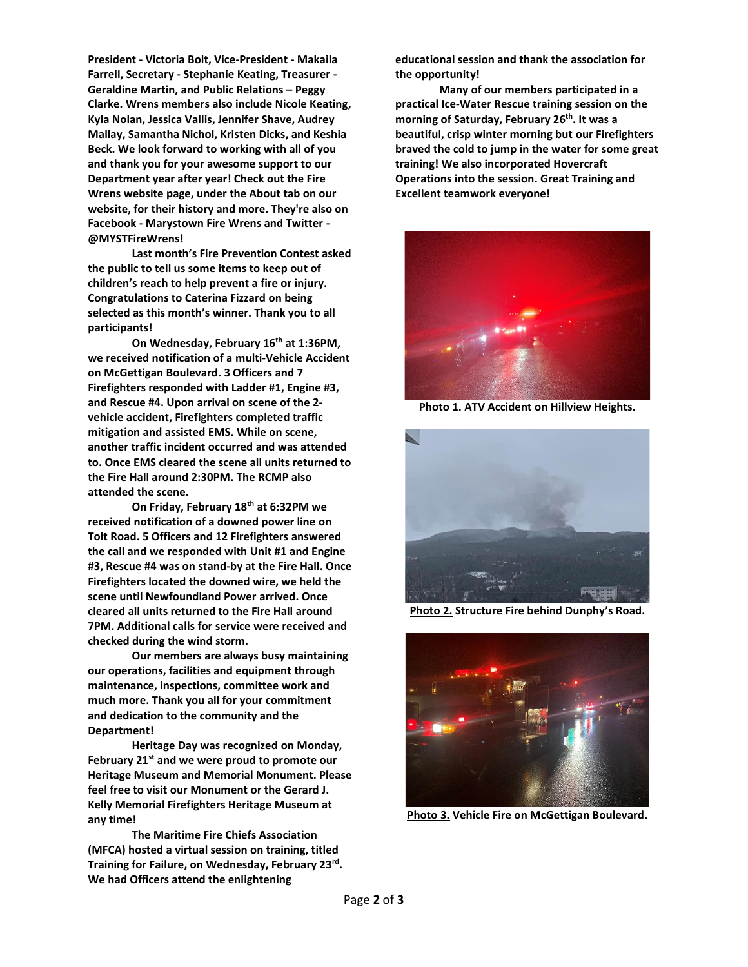**President - Victoria Bolt, Vice-President - Makaila Farrell, Secretary - Stephanie Keating, Treasurer - Geraldine Martin, and Public Relations – Peggy Clarke. Wrens members also include Nicole Keating, Kyla Nolan, Jessica Vallis, Jennifer Shave, Audrey Mallay, Samantha Nichol, Kristen Dicks, and Keshia Beck. We look forward to working with all of you and thank you for your awesome support to our Department year after year! Check out the Fire Wrens website page, under the About tab on our website, for their history and more. They're also on Facebook - Marystown Fire Wrens and Twitter - @MYSTFireWrens!**

**Last month's Fire Prevention Contest asked the public to tell us some items to keep out of children's reach to help prevent a fire or injury. Congratulations to Caterina Fizzard on being selected as this month's winner. Thank you to all participants!**

**On Wednesday, February 16th at 1:36PM, we received notification of a multi-Vehicle Accident on McGettigan Boulevard. 3 Officers and 7 Firefighters responded with Ladder #1, Engine #3, and Rescue #4. Upon arrival on scene of the 2 vehicle accident, Firefighters completed traffic mitigation and assisted EMS. While on scene, another traffic incident occurred and was attended to. Once EMS cleared the scene all units returned to the Fire Hall around 2:30PM. The RCMP also attended the scene.** 

**On Friday, February 18th at 6:32PM we received notification of a downed power line on Tolt Road. 5 Officers and 12 Firefighters answered the call and we responded with Unit #1 and Engine #3, Rescue #4 was on stand-by at the Fire Hall. Once Firefighters located the downed wire, we held the scene until Newfoundland Power arrived. Once cleared all units returned to the Fire Hall around 7PM. Additional calls for service were received and checked during the wind storm.**

**Our members are always busy maintaining our operations, facilities and equipment through maintenance, inspections, committee work and much more. Thank you all for your commitment and dedication to the community and the Department!**

**Heritage Day was recognized on Monday, February 21st and we were proud to promote our Heritage Museum and Memorial Monument. Please feel free to visit our Monument or the Gerard J. Kelly Memorial Firefighters Heritage Museum at any time!**

**The Maritime Fire Chiefs Association (MFCA) hosted a virtual session on training, titled Training for Failure, on Wednesday, February 23rd . We had Officers attend the enlightening** 

**educational session and thank the association for the opportunity!**

**Many of our members participated in a practical Ice-Water Rescue training session on the morning of Saturday, February 26th . It was a beautiful, crisp winter morning but our Firefighters braved the cold to jump in the water for some great training! We also incorporated Hovercraft Operations into the session. Great Training and Excellent teamwork everyone!**



**Photo 1. ATV Accident on Hillview Heights.**



**Photo 2. Structure Fire behind Dunphy's Road.**



**Photo 3. Vehicle Fire on McGettigan Boulevard.**